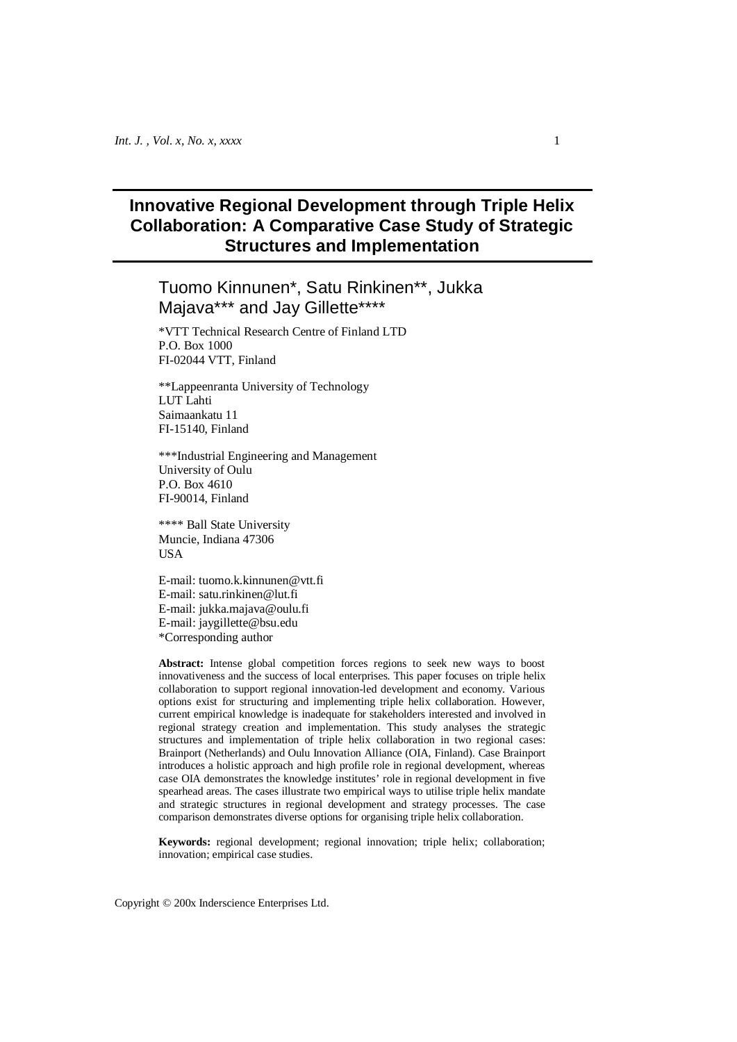# **Innovative Regional Development through Triple Helix Collaboration: A Comparative Case Study of Strategic Structures and Implementation**

# Tuomo Kinnunen\*, Satu Rinkinen\*\*, Jukka Majava\*\*\* and Jay Gillette\*\*\*\*

\*VTT Technical Research Centre of Finland LTD P.O. Box 1000 FI-02044 VTT, Finland

\*\*Lappeenranta University of Technology LUT Lahti Saimaankatu 11 FI-15140, Finland

\*\*\*Industrial Engineering and Management University of Oulu P.O. Box 4610 FI-90014, Finland

\*\*\*\* Ball State University Muncie, Indiana 47306 **USA** 

E-mail: tuomo.k.kinnunen@vtt.fi E-mail: satu.rinkinen@lut.fi E-mail: jukka.majava@oulu.fi E-mail: jaygillette@bsu.edu \*Corresponding author

Abstract: Intense global competition forces regions to seek new ways to boost innovativeness and the success of local enterprises. This paper focuses on triple helix collaboration to support regional innovation-led development and economy. Various options exist for structuring and implementing triple helix collaboration. However, current empirical knowledge is inadequate for stakeholders interested and involved in regional strategy creation and implementation. This study analyses the strategic structures and implementation of triple helix collaboration in two regional cases: Brainport (Netherlands) and Oulu Innovation Alliance (OIA, Finland). Case Brainport introduces a holistic approach and high profile role in regional development, whereas case OIA demonstrates the knowledge institutes' role in regional development in five spearhead areas. The cases illustrate two empirical ways to utilise triple helix mandate and strategic structures in regional development and strategy processes. The case comparison demonstrates diverse options for organising triple helix collaboration.

**Keywords:** regional development; regional innovation; triple helix; collaboration; innovation; empirical case studies.

Copyright © 200x Inderscience Enterprises Ltd.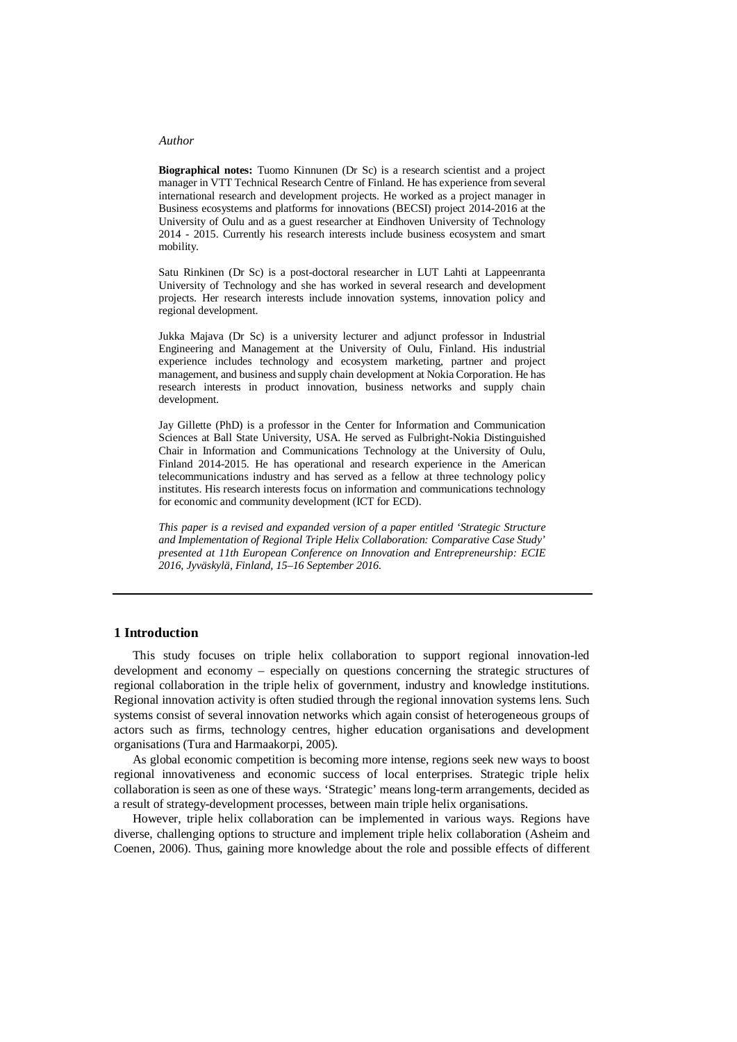**Biographical notes:** Tuomo Kinnunen (Dr Sc) is a research scientist and a project manager in VTT Technical Research Centre of Finland. He has experience from several international research and development projects. He worked as a project manager in Business ecosystems and platforms for innovations (BECSI) project 2014-2016 at the University of Oulu and as a guest researcher at Eindhoven University of Technology 2014 - 2015. Currently his research interests include business ecosystem and smart mobility.

Satu Rinkinen (Dr Sc) is a post-doctoral researcher in LUT Lahti at Lappeenranta University of Technology and she has worked in several research and development projects. Her research interests include innovation systems, innovation policy and regional development.

Jukka Majava (Dr Sc) is a university lecturer and adjunct professor in Industrial Engineering and Management at the University of Oulu, Finland. His industrial experience includes technology and ecosystem marketing, partner and project management, and business and supply chain development at Nokia Corporation. He has research interests in product innovation, business networks and supply chain development.

Jay Gillette (PhD) is a professor in the Center for Information and Communication Sciences at Ball State University, USA. He served as Fulbright-Nokia Distinguished Chair in Information and Communications Technology at the University of Oulu, Finland 2014-2015. He has operational and research experience in the American telecommunications industry and has served as a fellow at three technology policy institutes. His research interests focus on information and communications technology for economic and community development (ICT for ECD).

*This paper is a revised and expanded version of a paper entitled 'Strategic Structure and Implementation of Regional Triple Helix Collaboration: Comparative Case Study' presented at 11th European Conference on Innovation and Entrepreneurship: ECIE 2016, Jyväskylä, Finland, 15–16 September 2016.*

## **1 Introduction**

This study focuses on triple helix collaboration to support regional innovation-led development and economy – especially on questions concerning the strategic structures of regional collaboration in the triple helix of government, industry and knowledge institutions. Regional innovation activity is often studied through the regional innovation systems lens. Such systems consist of several innovation networks which again consist of heterogeneous groups of actors such as firms, technology centres, higher education organisations and development organisations (Tura and Harmaakorpi, 2005).

As global economic competition is becoming more intense, regions seek new ways to boost regional innovativeness and economic success of local enterprises. Strategic triple helix collaboration is seen as one of these ways. 'Strategic' means long-term arrangements, decided as a result of strategy-development processes, between main triple helix organisations.

However, triple helix collaboration can be implemented in various ways. Regions have diverse, challenging options to structure and implement triple helix collaboration (Asheim and Coenen, 2006). Thus, gaining more knowledge about the role and possible effects of different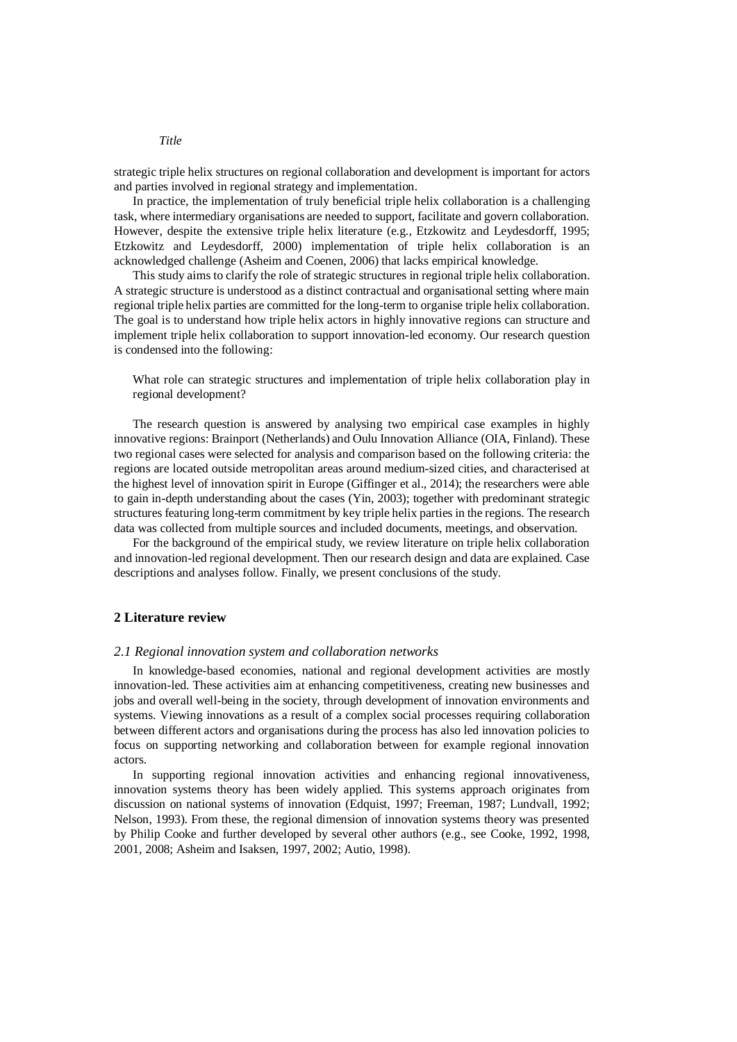strategic triple helix structures on regional collaboration and development is important for actors and parties involved in regional strategy and implementation.

In practice, the implementation of truly beneficial triple helix collaboration is a challenging task, where intermediary organisations are needed to support, facilitate and govern collaboration. However, despite the extensive triple helix literature (e.g., Etzkowitz and Leydesdorff, 1995; Etzkowitz and Leydesdorff, 2000) implementation of triple helix collaboration is an acknowledged challenge (Asheim and Coenen, 2006) that lacks empirical knowledge.

This study aims to clarify the role of strategic structures in regional triple helix collaboration. A strategic structure is understood as a distinct contractual and organisational setting where main regional triple helix parties are committed for the long-term to organise triple helix collaboration. The goal is to understand how triple helix actors in highly innovative regions can structure and implement triple helix collaboration to support innovation-led economy. Our research question is condensed into the following:

What role can strategic structures and implementation of triple helix collaboration play in regional development?

The research question is answered by analysing two empirical case examples in highly innovative regions: Brainport (Netherlands) and Oulu Innovation Alliance (OIA, Finland). These two regional cases were selected for analysis and comparison based on the following criteria: the regions are located outside metropolitan areas around medium-sized cities, and characterised at the highest level of innovation spirit in Europe (Giffinger et al., 2014); the researchers were able to gain in-depth understanding about the cases (Yin, 2003); together with predominant strategic structures featuring long-term commitment by key triple helix parties in the regions. The research data was collected from multiple sources and included documents, meetings, and observation.

For the background of the empirical study, we review literature on triple helix collaboration and innovation-led regional development. Then our research design and data are explained. Case descriptions and analyses follow. Finally, we present conclusions of the study.

## **2 Literature review**

#### *2.1 Regional innovation system and collaboration networks*

In knowledge-based economies, national and regional development activities are mostly innovation-led. These activities aim at enhancing competitiveness, creating new businesses and jobs and overall well-being in the society, through development of innovation environments and systems. Viewing innovations as a result of a complex social processes requiring collaboration between different actors and organisations during the process has also led innovation policies to focus on supporting networking and collaboration between for example regional innovation actors.

In supporting regional innovation activities and enhancing regional innovativeness, innovation systems theory has been widely applied. This systems approach originates from discussion on national systems of innovation (Edquist, 1997; Freeman, 1987; Lundvall, 1992; Nelson, 1993). From these, the regional dimension of innovation systems theory was presented by Philip Cooke and further developed by several other authors (e.g., see Cooke, 1992, 1998, 2001, 2008; Asheim and Isaksen, 1997, 2002; Autio, 1998).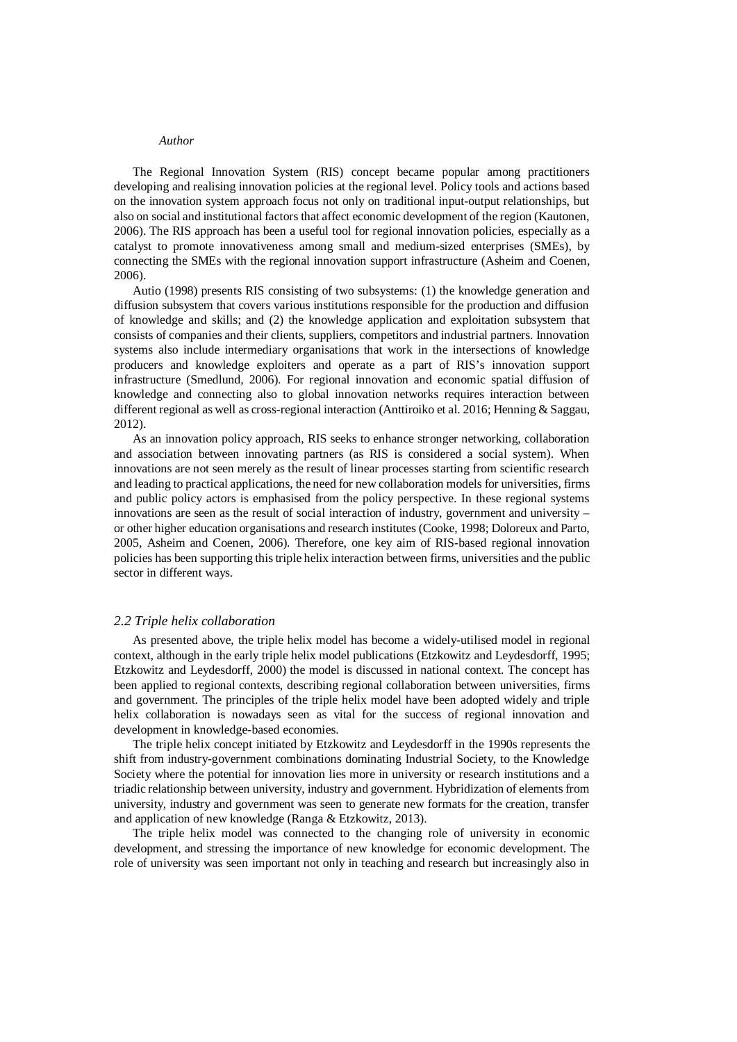The Regional Innovation System (RIS) concept became popular among practitioners developing and realising innovation policies at the regional level. Policy tools and actions based on the innovation system approach focus not only on traditional input-output relationships, but also on social and institutional factors that affect economic development of the region (Kautonen, 2006). The RIS approach has been a useful tool for regional innovation policies, especially as a catalyst to promote innovativeness among small and medium-sized enterprises (SMEs), by connecting the SMEs with the regional innovation support infrastructure (Asheim and Coenen, 2006).

Autio (1998) presents RIS consisting of two subsystems: (1) the knowledge generation and diffusion subsystem that covers various institutions responsible for the production and diffusion of knowledge and skills; and (2) the knowledge application and exploitation subsystem that consists of companies and their clients, suppliers, competitors and industrial partners. Innovation systems also include intermediary organisations that work in the intersections of knowledge producers and knowledge exploiters and operate as a part of RIS's innovation support infrastructure (Smedlund, 2006). For regional innovation and economic spatial diffusion of knowledge and connecting also to global innovation networks requires interaction between different regional as well as cross-regional interaction (Anttiroiko et al. 2016; Henning & Saggau, 2012).

As an innovation policy approach, RIS seeks to enhance stronger networking, collaboration and association between innovating partners (as RIS is considered a social system). When innovations are not seen merely as the result of linear processes starting from scientific research and leading to practical applications, the need for new collaboration models for universities, firms and public policy actors is emphasised from the policy perspective. In these regional systems innovations are seen as the result of social interaction of industry, government and university – or other higher education organisations and research institutes (Cooke, 1998; Doloreux and Parto, 2005, Asheim and Coenen, 2006). Therefore, one key aim of RIS-based regional innovation policies has been supporting this triple helix interaction between firms, universities and the public sector in different ways.

#### *2.2 Triple helix collaboration*

As presented above, the triple helix model has become a widely-utilised model in regional context, although in the early triple helix model publications (Etzkowitz and Leydesdorff, 1995; Etzkowitz and Leydesdorff, 2000) the model is discussed in national context. The concept has been applied to regional contexts, describing regional collaboration between universities, firms and government. The principles of the triple helix model have been adopted widely and triple helix collaboration is nowadays seen as vital for the success of regional innovation and development in knowledge-based economies.

The triple helix concept initiated by Etzkowitz and Leydesdorff in the 1990s represents the shift from industry-government combinations dominating Industrial Society, to the Knowledge Society where the potential for innovation lies more in university or research institutions and a triadic relationship between university, industry and government. Hybridization of elements from university, industry and government was seen to generate new formats for the creation, transfer and application of new knowledge (Ranga & Etzkowitz, 2013).

The triple helix model was connected to the changing role of university in economic development, and stressing the importance of new knowledge for economic development. The role of university was seen important not only in teaching and research but increasingly also in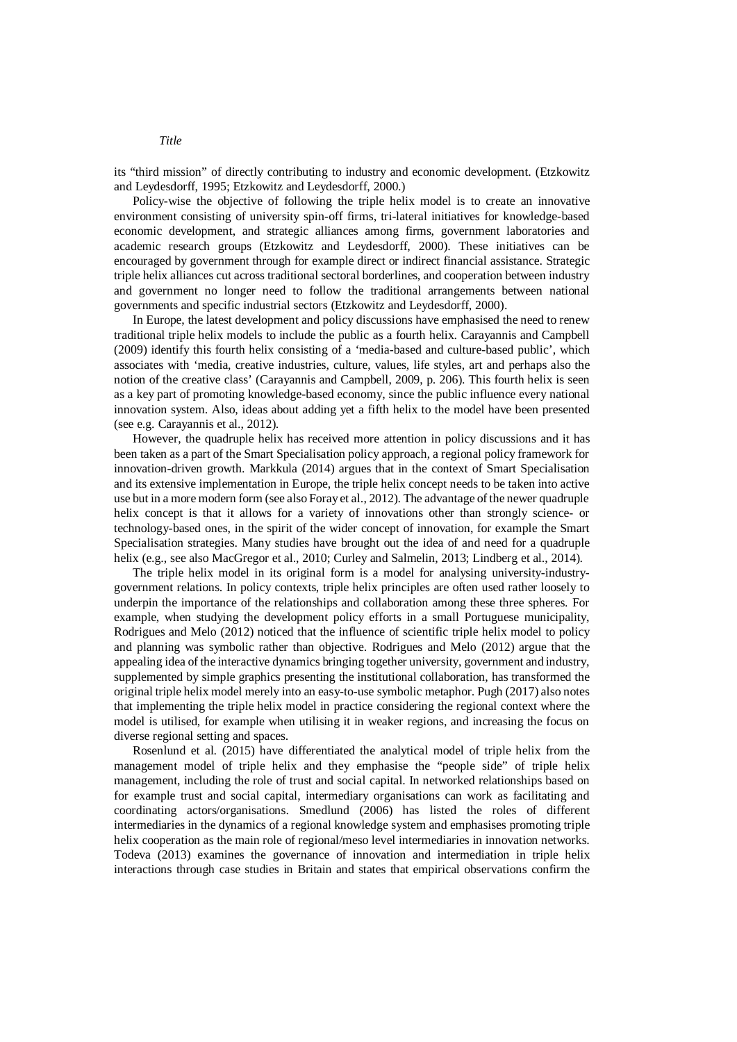its "third mission" of directly contributing to industry and economic development. (Etzkowitz and Leydesdorff, 1995; Etzkowitz and Leydesdorff, 2000.)

Policy-wise the objective of following the triple helix model is to create an innovative environment consisting of university spin-off firms, tri-lateral initiatives for knowledge-based economic development, and strategic alliances among firms, government laboratories and academic research groups (Etzkowitz and Leydesdorff, 2000). These initiatives can be encouraged by government through for example direct or indirect financial assistance. Strategic triple helix alliances cut across traditional sectoral borderlines, and cooperation between industry and government no longer need to follow the traditional arrangements between national governments and specific industrial sectors (Etzkowitz and Leydesdorff, 2000).

In Europe, the latest development and policy discussions have emphasised the need to renew traditional triple helix models to include the public as a fourth helix. Carayannis and Campbell (2009) identify this fourth helix consisting of a 'media-based and culture-based public', which associates with 'media, creative industries, culture, values, life styles, art and perhaps also the notion of the creative class' (Carayannis and Campbell, 2009, p. 206). This fourth helix is seen as a key part of promoting knowledge-based economy, since the public influence every national innovation system. Also, ideas about adding yet a fifth helix to the model have been presented (see e.g. Carayannis et al., 2012).

However, the quadruple helix has received more attention in policy discussions and it has been taken as a part of the Smart Specialisation policy approach, a regional policy framework for innovation-driven growth. Markkula (2014) argues that in the context of Smart Specialisation and its extensive implementation in Europe, the triple helix concept needs to be taken into active use but in a more modern form (see also Foray et al., 2012). The advantage of the newer quadruple helix concept is that it allows for a variety of innovations other than strongly science- or technology-based ones, in the spirit of the wider concept of innovation, for example the Smart Specialisation strategies. Many studies have brought out the idea of and need for a quadruple helix (e.g., see also MacGregor et al., 2010; Curley and Salmelin, 2013; Lindberg et al., 2014).

The triple helix model in its original form is a model for analysing university-industrygovernment relations. In policy contexts, triple helix principles are often used rather loosely to underpin the importance of the relationships and collaboration among these three spheres. For example, when studying the development policy efforts in a small Portuguese municipality, Rodrigues and Melo (2012) noticed that the influence of scientific triple helix model to policy and planning was symbolic rather than objective. Rodrigues and Melo (2012) argue that the appealing idea of the interactive dynamics bringing together university, government and industry, supplemented by simple graphics presenting the institutional collaboration, has transformed the original triple helix model merely into an easy-to-use symbolic metaphor. Pugh (2017) also notes that implementing the triple helix model in practice considering the regional context where the model is utilised, for example when utilising it in weaker regions, and increasing the focus on diverse regional setting and spaces.

Rosenlund et al. (2015) have differentiated the analytical model of triple helix from the management model of triple helix and they emphasise the "people side" of triple helix management, including the role of trust and social capital. In networked relationships based on for example trust and social capital, intermediary organisations can work as facilitating and coordinating actors/organisations. Smedlund (2006) has listed the roles of different intermediaries in the dynamics of a regional knowledge system and emphasises promoting triple helix cooperation as the main role of regional/meso level intermediaries in innovation networks. Todeva (2013) examines the governance of innovation and intermediation in triple helix interactions through case studies in Britain and states that empirical observations confirm the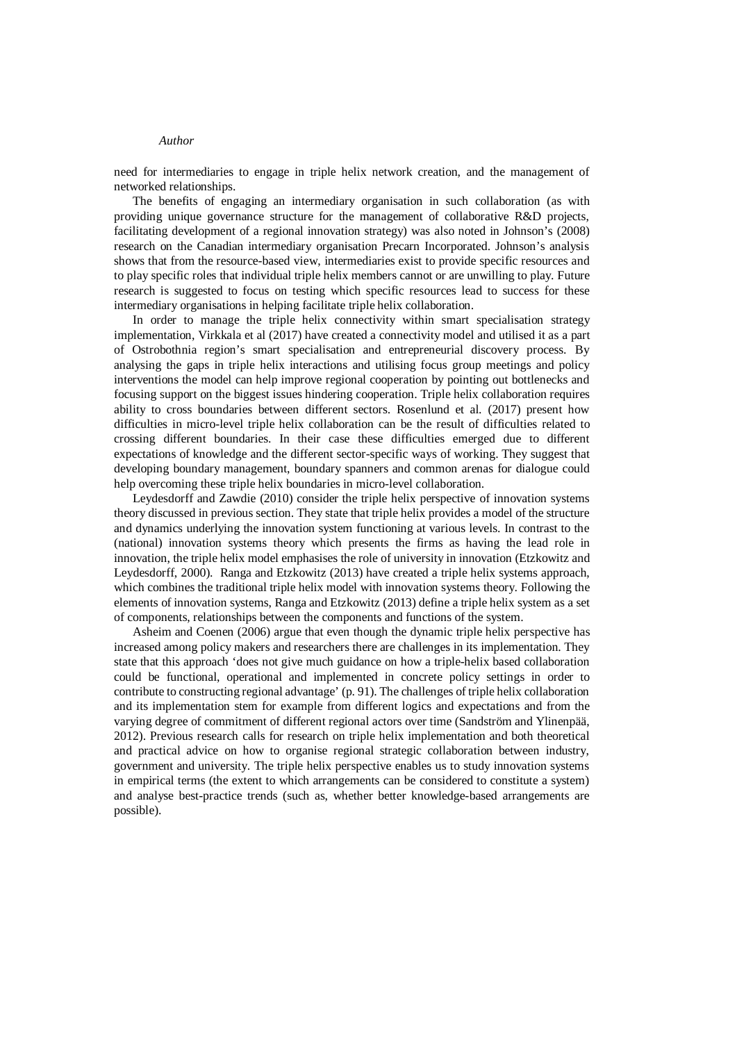need for intermediaries to engage in triple helix network creation, and the management of networked relationships.

The benefits of engaging an intermediary organisation in such collaboration (as with providing unique governance structure for the management of collaborative R&D projects, facilitating development of a regional innovation strategy) was also noted in Johnson's (2008) research on the Canadian intermediary organisation Precarn Incorporated. Johnson's analysis shows that from the resource-based view, intermediaries exist to provide specific resources and to play specific roles that individual triple helix members cannot or are unwilling to play. Future research is suggested to focus on testing which specific resources lead to success for these intermediary organisations in helping facilitate triple helix collaboration.

In order to manage the triple helix connectivity within smart specialisation strategy implementation, Virkkala et al (2017) have created a connectivity model and utilised it as a part of Ostrobothnia region's smart specialisation and entrepreneurial discovery process. By analysing the gaps in triple helix interactions and utilising focus group meetings and policy interventions the model can help improve regional cooperation by pointing out bottlenecks and focusing support on the biggest issues hindering cooperation. Triple helix collaboration requires ability to cross boundaries between different sectors. Rosenlund et al. (2017) present how difficulties in micro-level triple helix collaboration can be the result of difficulties related to crossing different boundaries. In their case these difficulties emerged due to different expectations of knowledge and the different sector-specific ways of working. They suggest that developing boundary management, boundary spanners and common arenas for dialogue could help overcoming these triple helix boundaries in micro-level collaboration.

Leydesdorff and Zawdie (2010) consider the triple helix perspective of innovation systems theory discussed in previous section. They state that triple helix provides a model of the structure and dynamics underlying the innovation system functioning at various levels. In contrast to the (national) innovation systems theory which presents the firms as having the lead role in innovation, the triple helix model emphasises the role of university in innovation (Etzkowitz and Leydesdorff, 2000). Ranga and Etzkowitz (2013) have created a triple helix systems approach, which combines the traditional triple helix model with innovation systems theory. Following the elements of innovation systems, Ranga and Etzkowitz (2013) define a triple helix system as a set of components, relationships between the components and functions of the system.

Asheim and Coenen (2006) argue that even though the dynamic triple helix perspective has increased among policy makers and researchers there are challenges in its implementation. They state that this approach 'does not give much guidance on how a triple-helix based collaboration could be functional, operational and implemented in concrete policy settings in order to contribute to constructing regional advantage' (p. 91). The challenges of triple helix collaboration and its implementation stem for example from different logics and expectations and from the varying degree of commitment of different regional actors over time (Sandström and Ylinenpää, 2012). Previous research calls for research on triple helix implementation and both theoretical and practical advice on how to organise regional strategic collaboration between industry, government and university. The triple helix perspective enables us to study innovation systems in empirical terms (the extent to which arrangements can be considered to constitute a system) and analyse best-practice trends (such as, whether better knowledge-based arrangements are possible).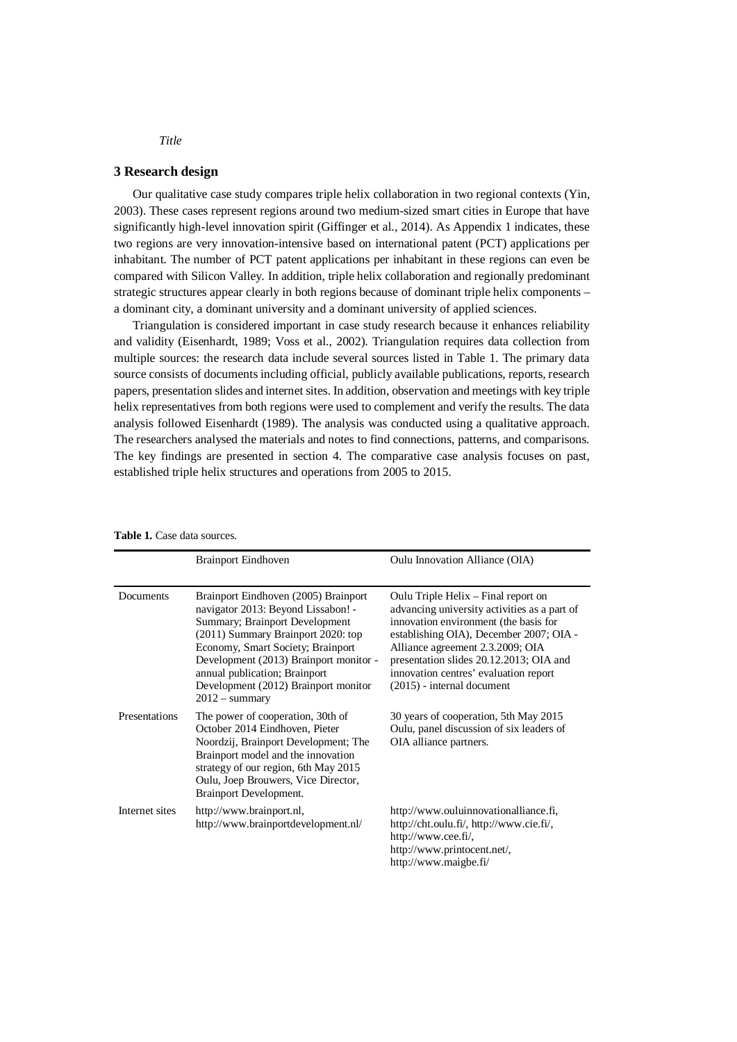### **3 Research design**

Our qualitative case study compares triple helix collaboration in two regional contexts (Yin, 2003). These cases represent regions around two medium-sized smart cities in Europe that have significantly high-level innovation spirit (Giffinger et al., 2014). As Appendix 1 indicates, these two regions are very innovation-intensive based on international patent (PCT) applications per inhabitant. The number of PCT patent applications per inhabitant in these regions can even be compared with Silicon Valley. In addition, triple helix collaboration and regionally predominant strategic structures appear clearly in both regions because of dominant triple helix components – a dominant city, a dominant university and a dominant university of applied sciences.

Triangulation is considered important in case study research because it enhances reliability and validity (Eisenhardt, 1989; Voss et al., 2002). Triangulation requires data collection from multiple sources: the research data include several sources listed in Table 1. The primary data source consists of documents including official, publicly available publications, reports, research papers, presentation slides and internet sites. In addition, observation and meetings with key triple helix representatives from both regions were used to complement and verify the results. The data analysis followed Eisenhardt (1989). The analysis was conducted using a qualitative approach. The researchers analysed the materials and notes to find connections, patterns, and comparisons. The key findings are presented in section 4. The comparative case analysis focuses on past, established triple helix structures and operations from 2005 to 2015.

|                | <b>Brainport Eindhoven</b>                                                                                                                                                                                                                                                                                                            | Oulu Innovation Alliance (OIA)                                                                                                                                                                                                                                                                                                  |
|----------------|---------------------------------------------------------------------------------------------------------------------------------------------------------------------------------------------------------------------------------------------------------------------------------------------------------------------------------------|---------------------------------------------------------------------------------------------------------------------------------------------------------------------------------------------------------------------------------------------------------------------------------------------------------------------------------|
| Documents      | Brainport Eindhoven (2005) Brainport<br>navigator 2013: Beyond Lissabon! -<br>Summary; Brainport Development<br>(2011) Summary Brainport 2020: top<br>Economy, Smart Society; Brainport<br>Development (2013) Brainport monitor -<br>annual publication; Brainport<br>Development (2012) Brainport monitor<br>$2012 - \text{summary}$ | Oulu Triple Helix – Final report on<br>advancing university activities as a part of<br>innovation environment (the basis for<br>establishing OIA), December 2007; OIA -<br>Alliance agreement 2.3.2009; OIA<br>presentation slides 20.12.2013; OIA and<br>innovation centres' evaluation report<br>$(2015)$ - internal document |
| Presentations  | The power of cooperation, 30th of<br>October 2014 Eindhoven, Pieter<br>Noordzij, Brainport Development; The<br>Brainport model and the innovation<br>strategy of our region, 6th May 2015<br>Oulu, Joep Brouwers, Vice Director,<br>Brainport Development.                                                                            | 30 years of cooperation, 5th May 2015<br>Oulu, panel discussion of six leaders of<br>OIA alliance partners.                                                                                                                                                                                                                     |
| Internet sites | http://www.brainport.nl,<br>http://www.brainportdevelopment.nl/                                                                                                                                                                                                                                                                       | http://www.ouluinnovationalliance.fi,<br>http://cht.oulu.fi/, http://www.cie.fi/,<br>http://www.cee.fi/,<br>http://www.printocent.net/,<br>http://www.maigbe.fi/                                                                                                                                                                |

**Table 1.** Case data sources.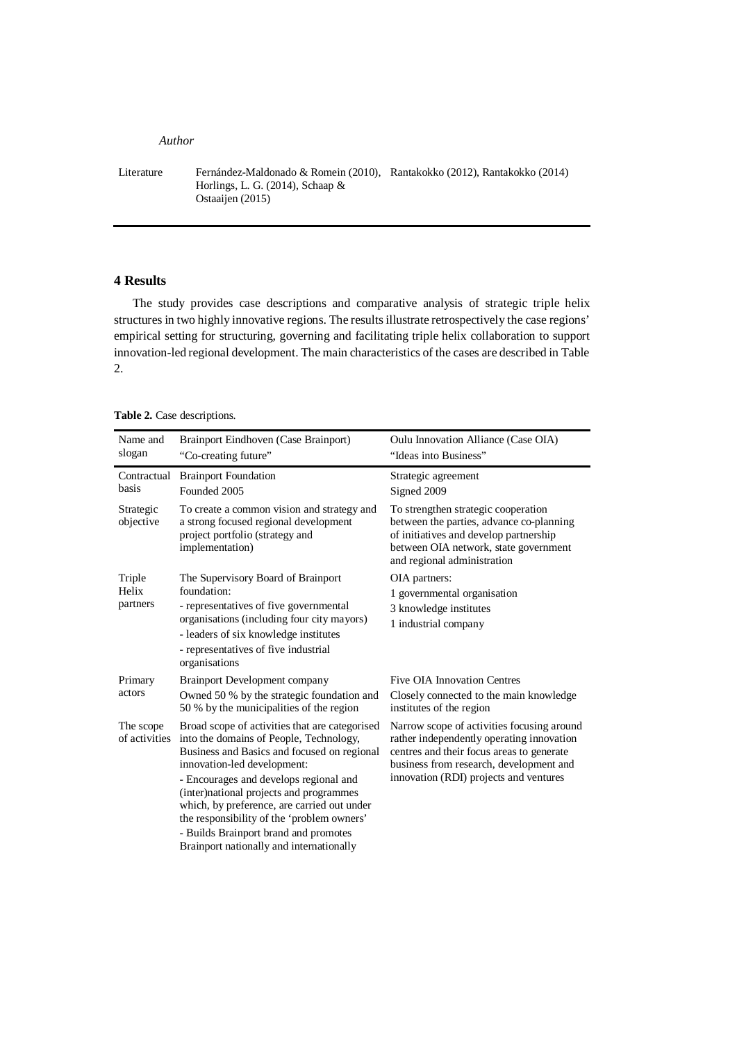Literature Fernández-Maldonado & Romein (2010), Rantakokko (2012), Rantakokko (2014) Horlings, L. G. (2014), Schaap & Ostaaijen (2015)

# **4 Results**

The study provides case descriptions and comparative analysis of strategic triple helix structures in two highly innovative regions. The results illustrate retrospectively the case regions' empirical setting for structuring, governing and facilitating triple helix collaboration to support innovation-led regional development. The main characteristics of the cases are described in Table 2.

## **Table 2.** Case descriptions.

| Name and<br>slogan          | Brainport Eindhoven (Case Brainport)<br>"Co-creating future"                                                                                                                                                                                                                                                                                                                                                                                   | Oulu Innovation Alliance (Case OIA)<br>"Ideas into Business"                                                                                                                                                              |
|-----------------------------|------------------------------------------------------------------------------------------------------------------------------------------------------------------------------------------------------------------------------------------------------------------------------------------------------------------------------------------------------------------------------------------------------------------------------------------------|---------------------------------------------------------------------------------------------------------------------------------------------------------------------------------------------------------------------------|
| Contractual<br>basis        | <b>Brainport Foundation</b><br>Founded 2005                                                                                                                                                                                                                                                                                                                                                                                                    | Strategic agreement<br>Signed 2009                                                                                                                                                                                        |
| Strategic<br>objective      | To create a common vision and strategy and<br>a strong focused regional development<br>project portfolio (strategy and<br>implementation)                                                                                                                                                                                                                                                                                                      | To strengthen strategic cooperation<br>between the parties, advance co-planning<br>of initiatives and develop partnership<br>between OIA network, state government<br>and regional administration                         |
| Triple<br>Helix<br>partners | The Supervisory Board of Brainport<br>foundation:<br>- representatives of five governmental<br>organisations (including four city mayors)<br>- leaders of six knowledge institutes<br>- representatives of five industrial<br>organisations                                                                                                                                                                                                    | OIA partners:<br>1 governmental organisation<br>3 knowledge institutes<br>1 industrial company                                                                                                                            |
| Primary<br>actors           | <b>Brainport Development company</b>                                                                                                                                                                                                                                                                                                                                                                                                           | Five OIA Innovation Centres                                                                                                                                                                                               |
|                             | Owned 50 % by the strategic foundation and<br>50 % by the municipalities of the region                                                                                                                                                                                                                                                                                                                                                         | Closely connected to the main knowledge<br>institutes of the region                                                                                                                                                       |
| The scope<br>of activities  | Broad scope of activities that are categorised<br>into the domains of People, Technology,<br>Business and Basics and focused on regional<br>innovation-led development:<br>- Encourages and develops regional and<br>(inter)national projects and programmes<br>which, by preference, are carried out under<br>the responsibility of the 'problem owners'<br>- Builds Brainport brand and promotes<br>Brainport nationally and internationally | Narrow scope of activities focusing around<br>rather independently operating innovation<br>centres and their focus areas to generate<br>business from research, development and<br>innovation (RDI) projects and ventures |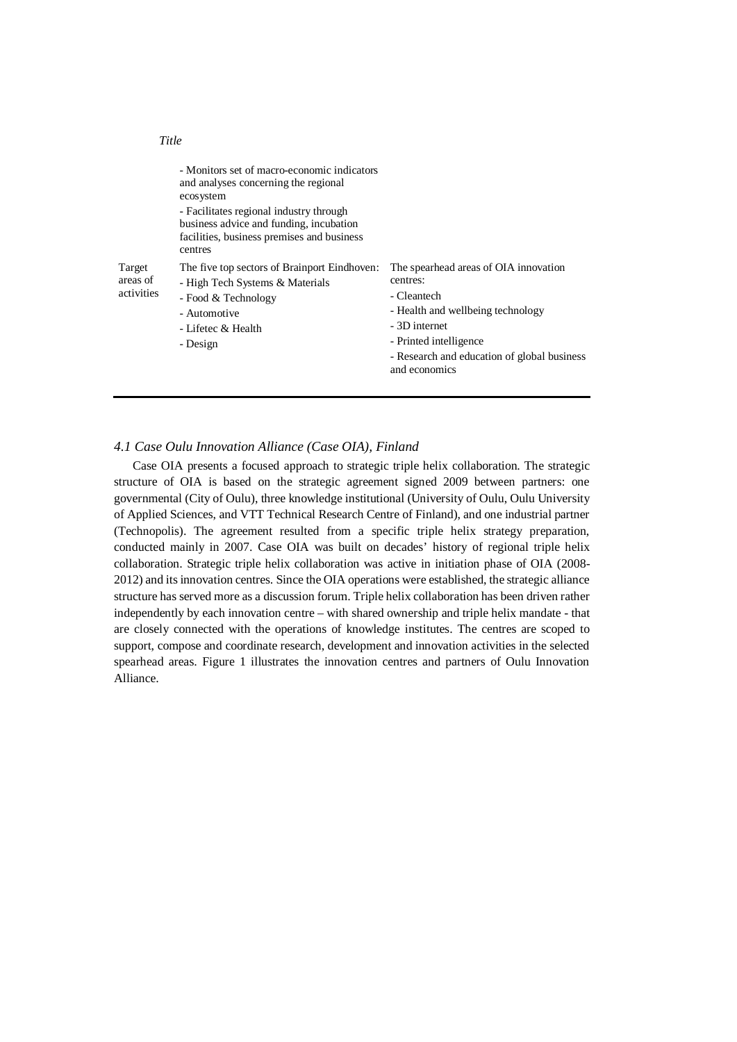|                                  | - Monitors set of macro-economic indicators<br>and analyses concerning the regional<br>ecosystem<br>- Facilitates regional industry through<br>business advice and funding, incubation<br>facilities, business premises and business<br>centres |                                                                                                                                                                                                                  |
|----------------------------------|-------------------------------------------------------------------------------------------------------------------------------------------------------------------------------------------------------------------------------------------------|------------------------------------------------------------------------------------------------------------------------------------------------------------------------------------------------------------------|
| Target<br>areas of<br>activities | The five top sectors of Brainport Eindhoven:<br>- High Tech Systems & Materials<br>- Food & Technology<br>- Automotive<br>- Lifetec & Health<br>- Design                                                                                        | The spearhead areas of OIA innovation<br>centres:<br>- Cleantech<br>- Health and wellbeing technology<br>- 3D internet<br>- Printed intelligence<br>- Research and education of global business<br>and economics |

## *4.1 Case Oulu Innovation Alliance (Case OIA), Finland*

*Title*

Case OIA presents a focused approach to strategic triple helix collaboration. The strategic structure of OIA is based on the strategic agreement signed 2009 between partners: one governmental (City of Oulu), three knowledge institutional (University of Oulu, Oulu University of Applied Sciences, and VTT Technical Research Centre of Finland), and one industrial partner (Technopolis). The agreement resulted from a specific triple helix strategy preparation, conducted mainly in 2007. Case OIA was built on decades' history of regional triple helix collaboration. Strategic triple helix collaboration was active in initiation phase of OIA (2008- 2012) and its innovation centres. Since the OIA operations were established, the strategic alliance structure has served more as a discussion forum. Triple helix collaboration has been driven rather independently by each innovation centre – with shared ownership and triple helix mandate - that are closely connected with the operations of knowledge institutes. The centres are scoped to support, compose and coordinate research, development and innovation activities in the selected spearhead areas. Figure 1 illustrates the innovation centres and partners of Oulu Innovation Alliance.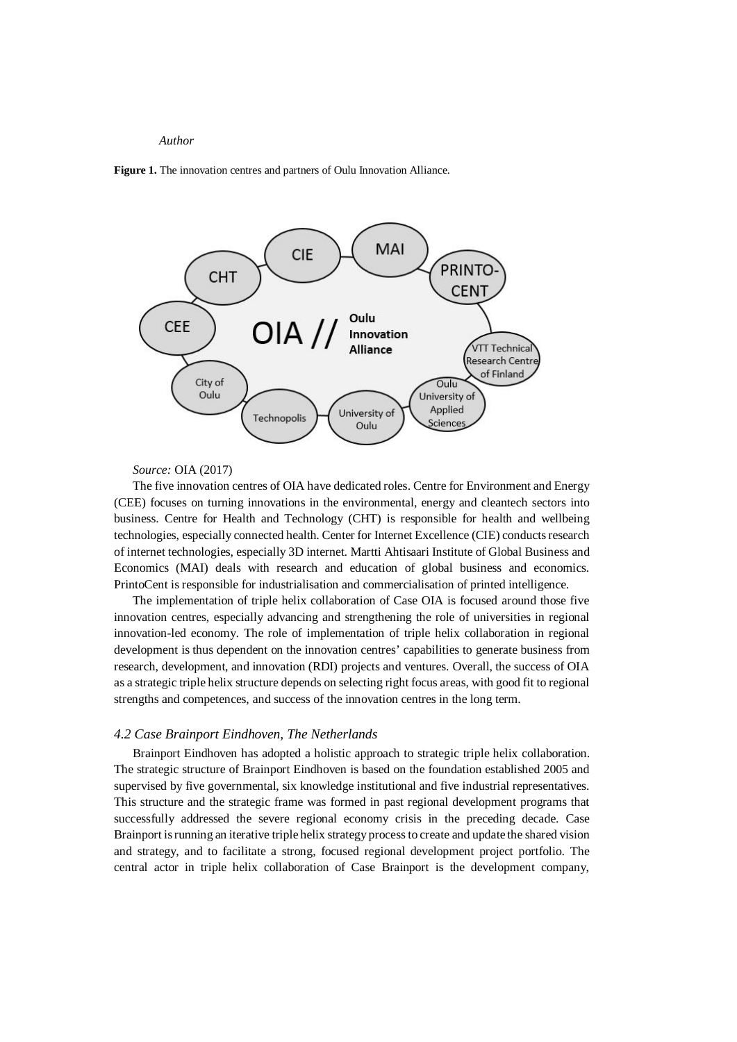**Figure 1.** The innovation centres and partners of Oulu Innovation Alliance.



*Source:* OIA (2017)

The five innovation centres of OIA have dedicated roles. Centre for Environment and Energy (CEE) focuses on turning innovations in the environmental, energy and cleantech sectors into business. Centre for Health and Technology (CHT) is responsible for health and wellbeing technologies, especially connected health. Center for Internet Excellence (CIE) conducts research of internet technologies, especially 3D internet. Martti Ahtisaari Institute of Global Business and Economics (MAI) deals with research and education of global business and economics. PrintoCent is responsible for industrialisation and commercialisation of printed intelligence.

The implementation of triple helix collaboration of Case OIA is focused around those five innovation centres, especially advancing and strengthening the role of universities in regional innovation-led economy. The role of implementation of triple helix collaboration in regional development is thus dependent on the innovation centres' capabilities to generate business from research, development, and innovation (RDI) projects and ventures. Overall, the success of OIA as a strategic triple helix structure depends on selecting right focus areas, with good fit to regional strengths and competences, and success of the innovation centres in the long term.

#### *4.2 Case Brainport Eindhoven, The Netherlands*

Brainport Eindhoven has adopted a holistic approach to strategic triple helix collaboration. The strategic structure of Brainport Eindhoven is based on the foundation established 2005 and supervised by five governmental, six knowledge institutional and five industrial representatives. This structure and the strategic frame was formed in past regional development programs that successfully addressed the severe regional economy crisis in the preceding decade. Case Brainport is running an iterative triple helix strategy process to create and update the shared vision and strategy, and to facilitate a strong, focused regional development project portfolio. The central actor in triple helix collaboration of Case Brainport is the development company,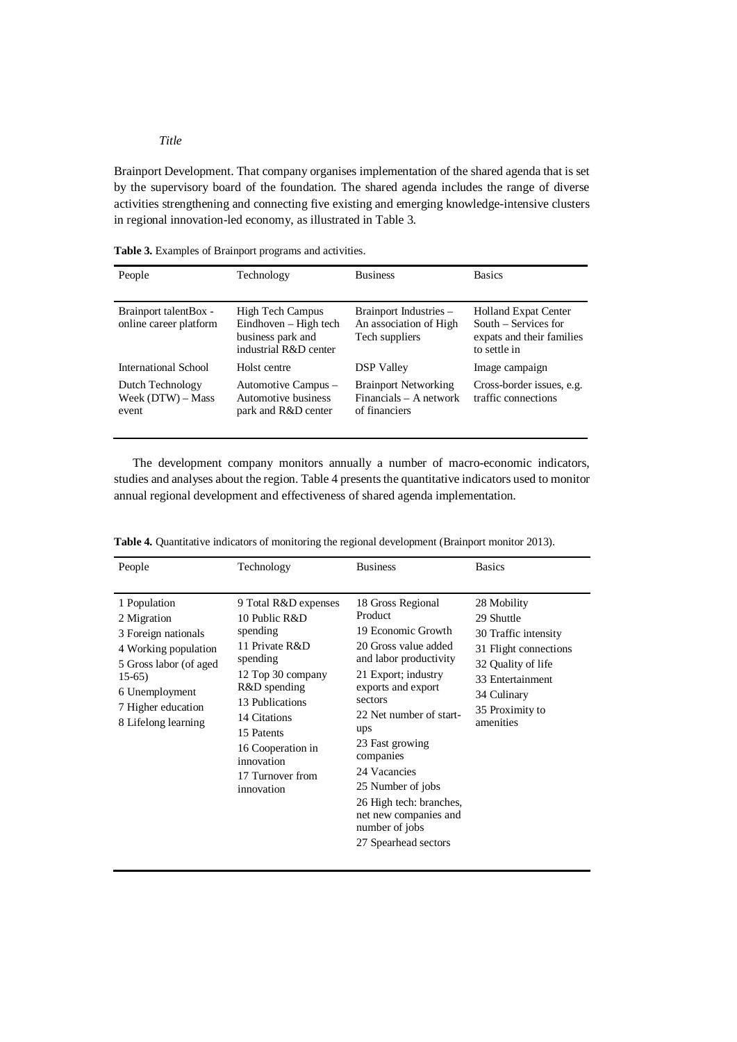Brainport Development. That company organises implementation of the shared agenda that is set by the supervisory board of the foundation. The shared agenda includes the range of diverse activities strengthening and connecting five existing and emerging knowledge-intensive clusters in regional innovation-led economy, as illustrated in Table 3.

**Table 3.** Examples of Brainport programs and activities.

| People                                          | Technology                                                                                     | <b>Business</b>                                                          | <b>Basics</b>                                                                                    |
|-------------------------------------------------|------------------------------------------------------------------------------------------------|--------------------------------------------------------------------------|--------------------------------------------------------------------------------------------------|
| Brainport talentBox -<br>online career platform | <b>High Tech Campus</b><br>Eindhoven – High tech<br>business park and<br>industrial R&D center | Brainport Industries -<br>An association of High<br>Tech suppliers       | <b>Holland Expat Center</b><br>South – Services for<br>expats and their families<br>to settle in |
| International School                            | Holst centre                                                                                   | <b>DSP</b> Valley                                                        | Image campaign                                                                                   |
| Dutch Technology<br>Week (DTW) – Mass<br>event  | Automotive Campus -<br>Automotive business<br>park and R&D center                              | <b>Brainport Networking</b><br>$Financials - A network$<br>of financiers | Cross-border issues, e.g.<br>traffic connections                                                 |

The development company monitors annually a number of macro-economic indicators, studies and analyses about the region. Table 4 presents the quantitative indicators used to monitor annual regional development and effectiveness of shared agenda implementation.

| People                                                                                                                                                                         | Technology                                                                                                                                                                                                                                 | <b>Business</b>                                                                                                                                                                                                                                                                                                                                                   | <b>Basics</b>                                                                                                                                                       |
|--------------------------------------------------------------------------------------------------------------------------------------------------------------------------------|--------------------------------------------------------------------------------------------------------------------------------------------------------------------------------------------------------------------------------------------|-------------------------------------------------------------------------------------------------------------------------------------------------------------------------------------------------------------------------------------------------------------------------------------------------------------------------------------------------------------------|---------------------------------------------------------------------------------------------------------------------------------------------------------------------|
| 1 Population<br>2 Migration<br>3 Foreign nationals<br>4 Working population<br>5 Gross labor (of aged<br>$15-65$<br>6 Unemployment<br>7 Higher education<br>8 Lifelong learning | 9 Total R&D expenses<br>10 Public R&D<br>spending<br>11 Private R&D<br>spending<br>12 Top 30 company<br>R&D spending<br>13 Publications<br>14 Citations<br>15 Patents<br>16 Cooperation in<br>innovation<br>17 Turnover from<br>innovation | 18 Gross Regional<br>Product<br>19 Economic Growth<br>20 Gross value added<br>and labor productivity<br>21 Export; industry<br>exports and export<br>sectors<br>22 Net number of start-<br>ups<br>23 Fast growing<br>companies<br>24 Vacancies<br>25 Number of jobs<br>26 High tech: branches,<br>net new companies and<br>number of jobs<br>27 Spearhead sectors | 28 Mobility<br>29 Shuttle<br>30 Traffic intensity<br>31 Flight connections<br>32 Quality of life<br>33 Entertainment<br>34 Culinary<br>35 Proximity to<br>amenities |

**Table 4.** Quantitative indicators of monitoring the regional development (Brainport monitor 2013).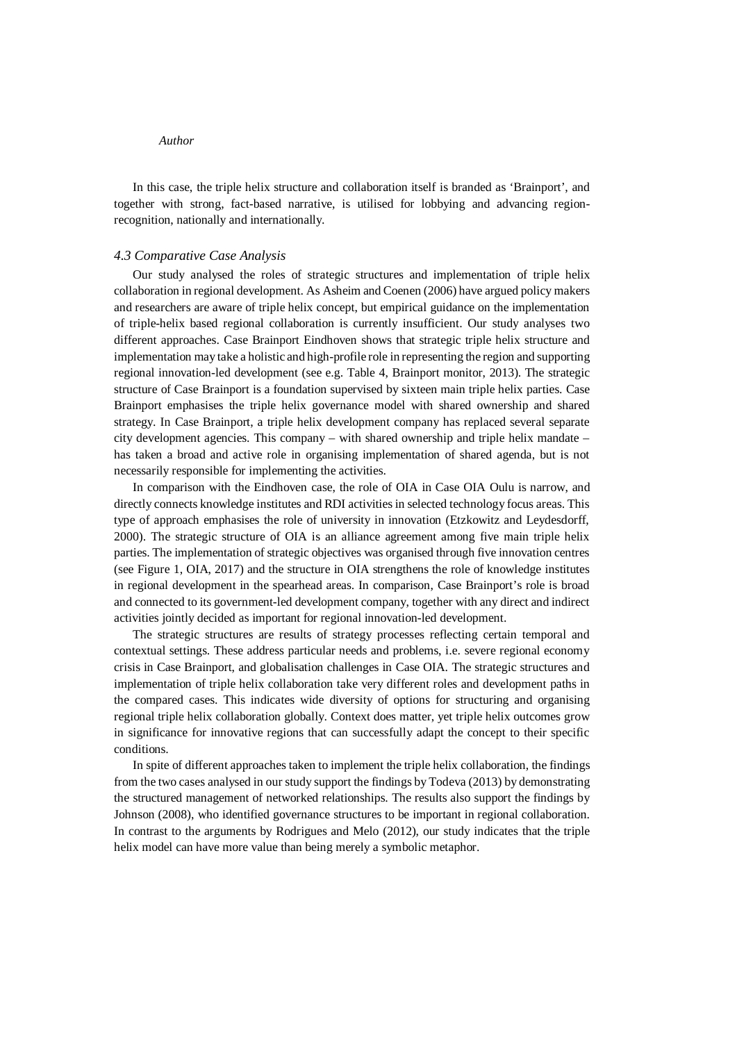In this case, the triple helix structure and collaboration itself is branded as 'Brainport', and together with strong, fact-based narrative, is utilised for lobbying and advancing regionrecognition, nationally and internationally.

#### *4.3 Comparative Case Analysis*

Our study analysed the roles of strategic structures and implementation of triple helix collaboration in regional development. As Asheim and Coenen (2006) have argued policy makers and researchers are aware of triple helix concept, but empirical guidance on the implementation of triple-helix based regional collaboration is currently insufficient. Our study analyses two different approaches. Case Brainport Eindhoven shows that strategic triple helix structure and implementation may take a holistic and high-profile role in representing the region and supporting regional innovation-led development (see e.g. Table 4, Brainport monitor, 2013). The strategic structure of Case Brainport is a foundation supervised by sixteen main triple helix parties. Case Brainport emphasises the triple helix governance model with shared ownership and shared strategy. In Case Brainport, a triple helix development company has replaced several separate city development agencies. This company – with shared ownership and triple helix mandate – has taken a broad and active role in organising implementation of shared agenda, but is not necessarily responsible for implementing the activities.

In comparison with the Eindhoven case, the role of OIA in Case OIA Oulu is narrow, and directly connects knowledge institutes and RDI activities in selected technology focus areas. This type of approach emphasises the role of university in innovation (Etzkowitz and Leydesdorff, 2000). The strategic structure of OIA is an alliance agreement among five main triple helix parties. The implementation of strategic objectives was organised through five innovation centres (see Figure 1, OIA, 2017) and the structure in OIA strengthens the role of knowledge institutes in regional development in the spearhead areas. In comparison, Case Brainport's role is broad and connected to its government-led development company, together with any direct and indirect activities jointly decided as important for regional innovation-led development.

The strategic structures are results of strategy processes reflecting certain temporal and contextual settings. These address particular needs and problems, i.e. severe regional economy crisis in Case Brainport, and globalisation challenges in Case OIA. The strategic structures and implementation of triple helix collaboration take very different roles and development paths in the compared cases. This indicates wide diversity of options for structuring and organising regional triple helix collaboration globally. Context does matter, yet triple helix outcomes grow in significance for innovative regions that can successfully adapt the concept to their specific conditions.

In spite of different approaches taken to implement the triple helix collaboration, the findings from the two cases analysed in our study support the findings by Todeva (2013) by demonstrating the structured management of networked relationships. The results also support the findings by Johnson (2008), who identified governance structures to be important in regional collaboration. In contrast to the arguments by Rodrigues and Melo (2012), our study indicates that the triple helix model can have more value than being merely a symbolic metaphor.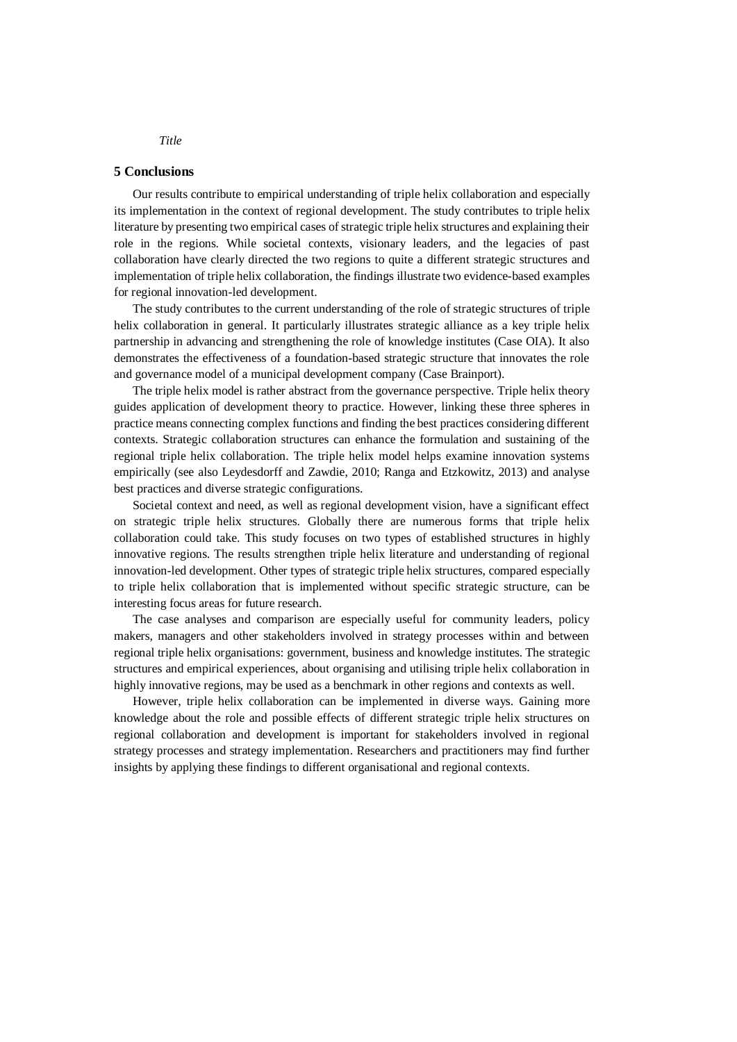#### **5 Conclusions**

Our results contribute to empirical understanding of triple helix collaboration and especially its implementation in the context of regional development. The study contributes to triple helix literature by presenting two empirical cases of strategic triple helix structures and explaining their role in the regions. While societal contexts, visionary leaders, and the legacies of past collaboration have clearly directed the two regions to quite a different strategic structures and implementation of triple helix collaboration, the findings illustrate two evidence-based examples for regional innovation-led development.

The study contributes to the current understanding of the role of strategic structures of triple helix collaboration in general. It particularly illustrates strategic alliance as a key triple helix partnership in advancing and strengthening the role of knowledge institutes (Case OIA). It also demonstrates the effectiveness of a foundation-based strategic structure that innovates the role and governance model of a municipal development company (Case Brainport).

The triple helix model is rather abstract from the governance perspective. Triple helix theory guides application of development theory to practice. However, linking these three spheres in practice means connecting complex functions and finding the best practices considering different contexts. Strategic collaboration structures can enhance the formulation and sustaining of the regional triple helix collaboration. The triple helix model helps examine innovation systems empirically (see also Leydesdorff and Zawdie, 2010; Ranga and Etzkowitz, 2013) and analyse best practices and diverse strategic configurations.

Societal context and need, as well as regional development vision, have a significant effect on strategic triple helix structures. Globally there are numerous forms that triple helix collaboration could take. This study focuses on two types of established structures in highly innovative regions. The results strengthen triple helix literature and understanding of regional innovation-led development. Other types of strategic triple helix structures, compared especially to triple helix collaboration that is implemented without specific strategic structure, can be interesting focus areas for future research.

The case analyses and comparison are especially useful for community leaders, policy makers, managers and other stakeholders involved in strategy processes within and between regional triple helix organisations: government, business and knowledge institutes. The strategic structures and empirical experiences, about organising and utilising triple helix collaboration in highly innovative regions, may be used as a benchmark in other regions and contexts as well.

However, triple helix collaboration can be implemented in diverse ways. Gaining more knowledge about the role and possible effects of different strategic triple helix structures on regional collaboration and development is important for stakeholders involved in regional strategy processes and strategy implementation. Researchers and practitioners may find further insights by applying these findings to different organisational and regional contexts.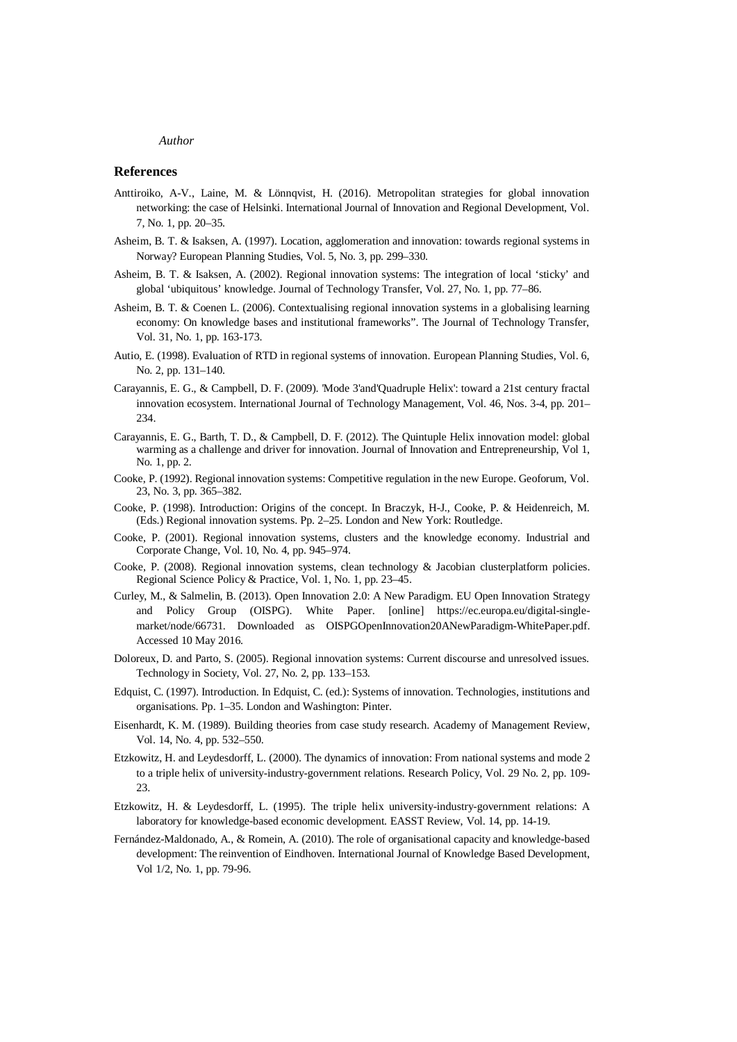### **References**

- Anttiroiko, A-V., Laine, M. & Lönnqvist, H. (2016). Metropolitan strategies for global innovation networking: the case of Helsinki. International Journal of Innovation and Regional Development, Vol. 7, No. 1, pp. 20–35.
- Asheim, B. T. & Isaksen, A. (1997). Location, agglomeration and innovation: towards regional systems in Norway? European Planning Studies, Vol. 5, No. 3, pp. 299–330.
- Asheim, B. T. & Isaksen, A. (2002). Regional innovation systems: The integration of local 'sticky' and global 'ubiquitous' knowledge. Journal of Technology Transfer, Vol. 27, No. 1, pp. 77–86.
- Asheim, B. T. & Coenen L. (2006). Contextualising regional innovation systems in a globalising learning economy: On knowledge bases and institutional frameworks". The Journal of Technology Transfer, Vol. 31, No. 1, pp. 163-173.
- Autio, E. (1998). Evaluation of RTD in regional systems of innovation. European Planning Studies, Vol. 6, No. 2, pp. 131–140.
- Carayannis, E. G., & Campbell, D. F. (2009). 'Mode 3'and'Quadruple Helix': toward a 21st century fractal innovation ecosystem. International Journal of Technology Management, Vol. 46, Nos. 3-4, pp. 201– 234.
- Carayannis, E. G., Barth, T. D., & Campbell, D. F. (2012). The Quintuple Helix innovation model: global warming as a challenge and driver for innovation. Journal of Innovation and Entrepreneurship, Vol 1, No. 1, pp. 2.
- Cooke, P. (1992). Regional innovation systems: Competitive regulation in the new Europe. Geoforum, Vol. 23, No. 3, pp. 365–382.
- Cooke, P. (1998). Introduction: Origins of the concept. In Braczyk, H-J., Cooke, P. & Heidenreich, M. (Eds.) Regional innovation systems. Pp. 2–25. London and New York: Routledge.
- Cooke, P. (2001). Regional innovation systems, clusters and the knowledge economy. Industrial and Corporate Change, Vol. 10, No. 4, pp. 945–974.
- Cooke, P. (2008). Regional innovation systems, clean technology & Jacobian clusterplatform policies. Regional Science Policy & Practice, Vol. 1, No. 1, pp. 23–45.
- Curley, M., & Salmelin, B. (2013). Open Innovation 2.0: A New Paradigm. EU Open Innovation Strategy and Policy Group (OISPG). White Paper. [online] https://ec.europa.eu/digital-singlemarket/node/66731. Downloaded as OISPGOpenInnovation20ANewParadigm-WhitePaper.pdf. Accessed 10 May 2016.
- Doloreux, D. and Parto, S. (2005). Regional innovation systems: Current discourse and unresolved issues. Technology in Society, Vol. 27, No. 2, pp. 133–153.
- Edquist, C. (1997). Introduction. In Edquist, C. (ed.): Systems of innovation. Technologies, institutions and organisations. Pp. 1–35. London and Washington: Pinter.
- Eisenhardt, K. M. (1989). Building theories from case study research. Academy of Management Review, Vol. 14, No. 4, pp. 532–550.
- Etzkowitz, H. and Leydesdorff, L. (2000). The dynamics of innovation: From national systems and mode 2 to a triple helix of university-industry-government relations. Research Policy, Vol. 29 No. 2, pp. 109- 23.
- Etzkowitz, H. & Leydesdorff, L. (1995). The triple helix university-industry-government relations: A laboratory for knowledge-based economic development. EASST Review, Vol. 14, pp. 14-19.
- Fernández-Maldonado, A., & Romein, A. (2010). The role of organisational capacity and knowledge-based development: The reinvention of Eindhoven. International Journal of Knowledge Based Development, Vol 1/2, No. 1, pp. 79-96.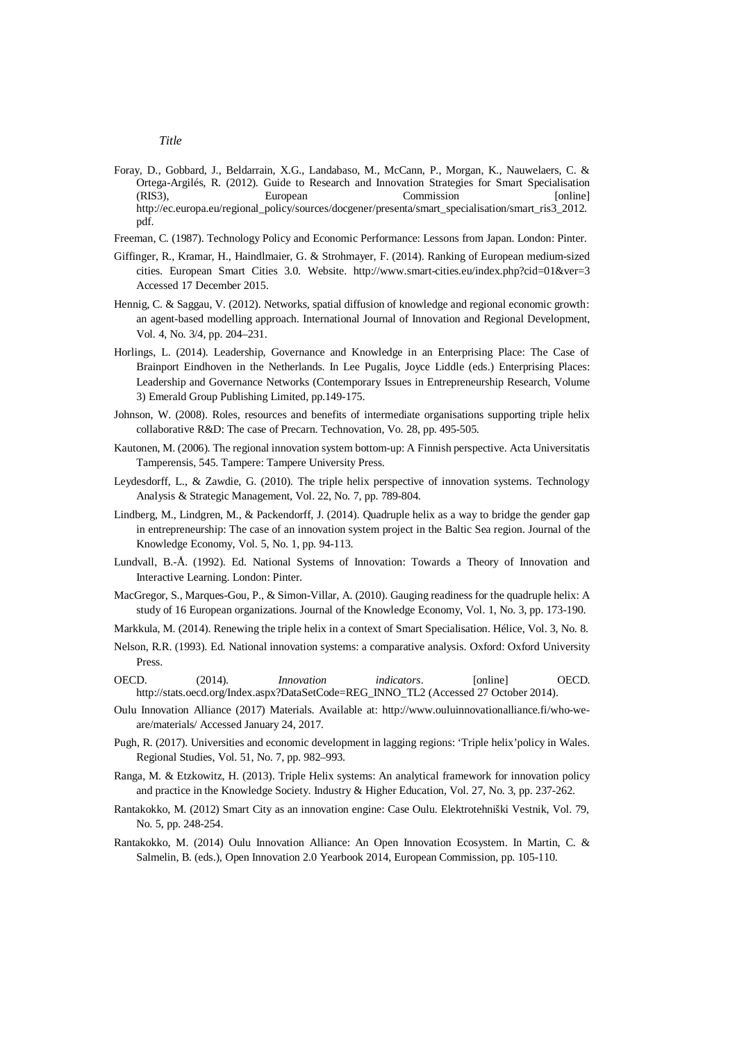- Foray, D., Gobbard, J., Beldarrain, X.G., Landabaso, M., McCann, P., Morgan, K., Nauwelaers, C. & Ortega-Argilés, R. (2012). Guide to Research and Innovation Strategies for Smart Specialisation (RIS3), European Commission [online] http://ec.europa.eu/regional\_policy/sources/docgener/presenta/smart\_specialisation/smart\_ris3\_2012. pdf.
- Freeman, C. (1987). Technology Policy and Economic Performance: Lessons from Japan. London: Pinter.
- Giffinger, R., Kramar, H., Haindlmaier, G. & Strohmayer, F. (2014). Ranking of European medium-sized cities. European Smart Cities 3.0. Website. http://www.smart-cities.eu/index.php?cid=01&ver=3 Accessed 17 December 2015.
- Hennig, C. & Saggau, V. (2012). Networks, spatial diffusion of knowledge and regional economic growth: an agent-based modelling approach. International Journal of Innovation and Regional Development, Vol. 4, No. 3/4, pp. 204–231.
- Horlings, L. (2014). Leadership, Governance and Knowledge in an Enterprising Place: The Case of Brainport Eindhoven in the Netherlands. In Lee Pugalis, Joyce Liddle (eds.) Enterprising Places: Leadership and Governance Networks (Contemporary Issues in Entrepreneurship Research, Volume 3) Emerald Group Publishing Limited, pp.149-175.
- Johnson, W. (2008). Roles, resources and benefits of intermediate organisations supporting triple helix collaborative R&D: The case of Precarn. Technovation, Vo. 28, pp. 495-505.
- Kautonen, M. (2006). The regional innovation system bottom-up: A Finnish perspective. Acta Universitatis Tamperensis, 545. Tampere: Tampere University Press.
- Leydesdorff, L., & Zawdie, G. (2010). The triple helix perspective of innovation systems. Technology Analysis & Strategic Management, Vol. 22, No. 7, pp. 789-804.
- Lindberg, M., Lindgren, M., & Packendorff, J. (2014). Quadruple helix as a way to bridge the gender gap in entrepreneurship: The case of an innovation system project in the Baltic Sea region. Journal of the Knowledge Economy, Vol. 5, No. 1, pp. 94-113.
- Lundvall, B.-Å. (1992). Ed. National Systems of Innovation: Towards a Theory of Innovation and Interactive Learning. London: Pinter.
- MacGregor, S., Marques-Gou, P., & Simon-Villar, A. (2010). Gauging readiness for the quadruple helix: A study of 16 European organizations. Journal of the Knowledge Economy, Vol. 1, No. 3, pp. 173-190.

Markkula, M. (2014). Renewing the triple helix in a context of Smart Specialisation. Hélice, Vol. 3, No. 8.

- Nelson, R.R. (1993). Ed. National innovation systems: a comparative analysis. Oxford: Oxford University Press.
- OECD. (2014). *Innovation indicators*. [online] OECD. http://stats.oecd.org/Index.aspx?DataSetCode=REG\_INNO\_TL2 (Accessed 27 October 2014).
- Oulu Innovation Alliance (2017) Materials. Available at: http://www.ouluinnovationalliance.fi/who-weare/materials/ Accessed January 24, 2017.
- Pugh, R. (2017). Universities and economic development in lagging regions: 'Triple helix'policy in Wales. Regional Studies, Vol. 51, No. 7, pp. 982–993.
- Ranga, M. & Etzkowitz, H. (2013). Triple Helix systems: An analytical framework for innovation policy and practice in the Knowledge Society. Industry & Higher Education, Vol. 27, No. 3, pp. 237-262.
- Rantakokko, M. (2012) Smart City as an innovation engine: Case Oulu. Elektrotehniški Vestnik, Vol. 79, No. 5, pp. 248-254.
- Rantakokko, M. (2014) Oulu Innovation Alliance: An Open Innovation Ecosystem. In Martin, C. & Salmelin, B. (eds.), Open Innovation 2.0 Yearbook 2014, European Commission, pp. 105-110.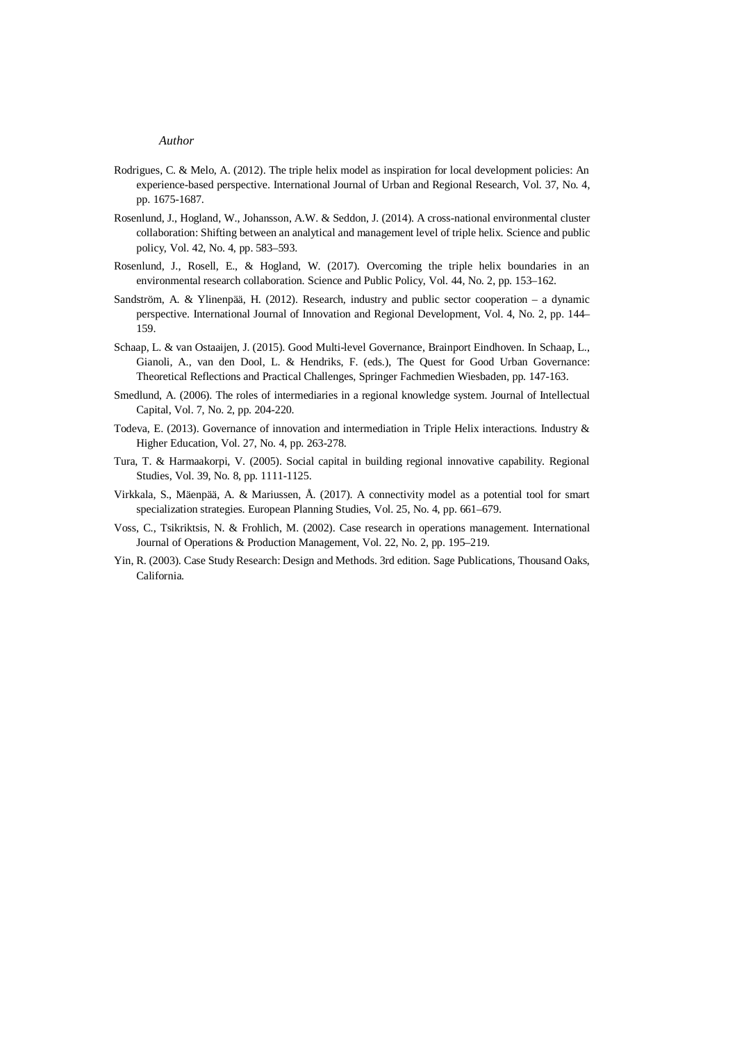- Rodrigues, C. & Melo, A. (2012). The triple helix model as inspiration for local development policies: An experience-based perspective. International Journal of Urban and Regional Research, Vol. 37, No. 4, pp. 1675-1687.
- Rosenlund, J., Hogland, W., Johansson, A.W. & Seddon, J. (2014). A cross-national environmental cluster collaboration: Shifting between an analytical and management level of triple helix. Science and public policy, Vol. 42, No. 4, pp. 583–593.
- Rosenlund, J., Rosell, E., & Hogland, W. (2017). Overcoming the triple helix boundaries in an environmental research collaboration. Science and Public Policy, Vol. 44, No. 2, pp. 153–162.
- Sandström, A. & Ylinenpää, H. (2012). Research, industry and public sector cooperation a dynamic perspective. International Journal of Innovation and Regional Development, Vol. 4, No. 2, pp. 144– 159.
- Schaap, L. & van Ostaaijen, J. (2015). Good Multi-level Governance, Brainport Eindhoven. In Schaap, L., Gianoli, A., van den Dool, L. & Hendriks, F. (eds.), The Quest for Good Urban Governance: Theoretical Reflections and Practical Challenges, Springer Fachmedien Wiesbaden, pp. 147-163.
- Smedlund, A. (2006). The roles of intermediaries in a regional knowledge system. Journal of Intellectual Capital, Vol. 7, No. 2, pp. 204-220.
- Todeva, E. (2013). Governance of innovation and intermediation in Triple Helix interactions. Industry & Higher Education, Vol. 27, No. 4, pp. 263-278.
- Tura, T. & Harmaakorpi, V. (2005). Social capital in building regional innovative capability. Regional Studies, Vol. 39, No. 8, pp. 1111-1125.
- Virkkala, S., Mäenpää, A. & Mariussen, Å. (2017). A connectivity model as a potential tool for smart specialization strategies. European Planning Studies, Vol. 25, No. 4, pp. 661–679.
- Voss, C., Tsikriktsis, N. & Frohlich, M. (2002). Case research in operations management. International Journal of Operations & Production Management, Vol. 22, No. 2, pp. 195–219.
- Yin, R. (2003). Case Study Research: Design and Methods. 3rd edition. Sage Publications, Thousand Oaks, California.